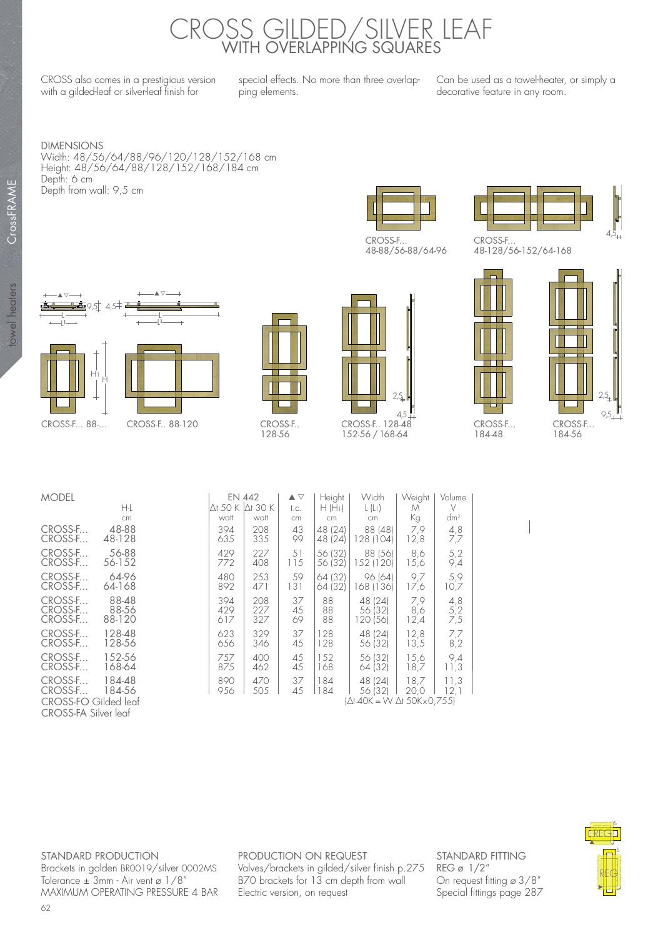## CROSS GILDED/SILVER LEAF WITH OVERLAPPING SQUARES

CROSS also comes in a prestigious version with a gilded-leaf or silver-leaf finish for

special effects. No more than three overlapping elements.

Can be used as a towel-heater, or simply a decorative feature in any room.

DIMENSIONS Width: 48/56/64/88/96/120/128/152/168 cm Height: 48/56/64/88/128/152/168/184 cm Depth: 6 cm Depth from wall: 9,5 cm



48-88/56-88/64-96



48-128/56-152/64-168

I



CrossFRAME

CrossFRAME

towel heaters

towel heaters



CROSS-F.. 128-56







| <b>MODEL</b>                                        |                          |                   | <b>EN 442</b>     | $\blacktriangle \triangledown$ | Height             | Width                         | Weight             | Volume            |  |
|-----------------------------------------------------|--------------------------|-------------------|-------------------|--------------------------------|--------------------|-------------------------------|--------------------|-------------------|--|
|                                                     | H-L                      | $\Delta t$ 50 K   | $\Delta t$ 30 K   | t.c.                           | $H(H_1)$           | $L(L_1)$                      | M                  | V                 |  |
|                                                     | cm                       | watt              | watt              | cm                             | cm                 | cm                            | Кg                 | $dm^3$            |  |
| CROSS-F<br>CROSS-F                                  | 48-88<br>48-128          | 394<br>635        | 208<br>335        | 43<br>99                       | 48 (24)<br>48 (24) | 88 (48)<br>128 (104)          | 7,9<br>12,8        | 4,8<br>7,7        |  |
| CROSS-F<br>CROSS-F                                  | 56-88<br>56-152          | 429<br>772        | 227<br>408        | 51<br>115                      | 56 (32)<br>56 (32) | 88 (56)<br>152 (120)          | 8,6<br>15,6        | 5,2<br>9,4        |  |
| CROSS-F<br>CROSS-F                                  | 64-96<br>64-168          | 480<br>892        | 253<br>471        | 59<br> 3                       | 64 (32)<br>64 (32) | 96 (64)<br>168 (136)          | 9,7<br>17,6        | 5,9<br>10,7       |  |
| CROSS-F<br>CROSS-F<br>CROSS-F                       | 88-48<br>88-56<br>88-120 | 394<br>429<br>617 | 208<br>227<br>327 | 37<br>45<br>69                 | 88<br>88<br>88     | 48 (24)<br>56 (32)<br>20 (56) | 7,9<br>8,6<br>12,4 | 4,8<br>5,2<br>7,5 |  |
| CROSS-F<br>CROSS-F                                  | 128-48<br>128-56         | 623<br>656        | 329<br>346        | 37<br>45                       | 128<br>128         | 48 (24)<br>56 (32)            | 12,8<br>13,5       | 7,7<br>8,2        |  |
| CROSS-F<br>CROSS-F                                  | 152-56<br>168-64         | 757<br>875        | 400<br>462        | 45<br>45                       | 152<br>168         | 56 (32)<br>64 (32)            | 15.6<br>18,7       | 9,4<br>11,3       |  |
| CROSS-F<br>CROSS-F                                  | 184-48<br>184-56         | 890<br>956        | 470<br>505        | 37<br>45                       | 184<br>184         | 48 (24)<br>56 (32)            | 18,7<br>20,0       | 11,3<br>12,1      |  |
| CROSS-FO Gilded leaf<br><b>CROSS-FA Silver leaf</b> |                          |                   |                   |                                |                    | I∆t 40K = W ∆t 50Kx0.755)     |                    |                   |  |

STANDARD PRODUCTION Brackets in golden BR0019/silver 0002MS Tolerance  $\pm$  3mm - Air vent ø  $1/8$ " MAXIMUM OPERATING PRESSURE 4 BAR PRODUCTION ON REQUEST Valves/brackets in gilded/silver finish p.275 B70 brackets for 13 cm depth from wall Electric version, on request

STANDARD FITTING REG ø 1/2" On request fitting ø 3/8" Special fittings page 287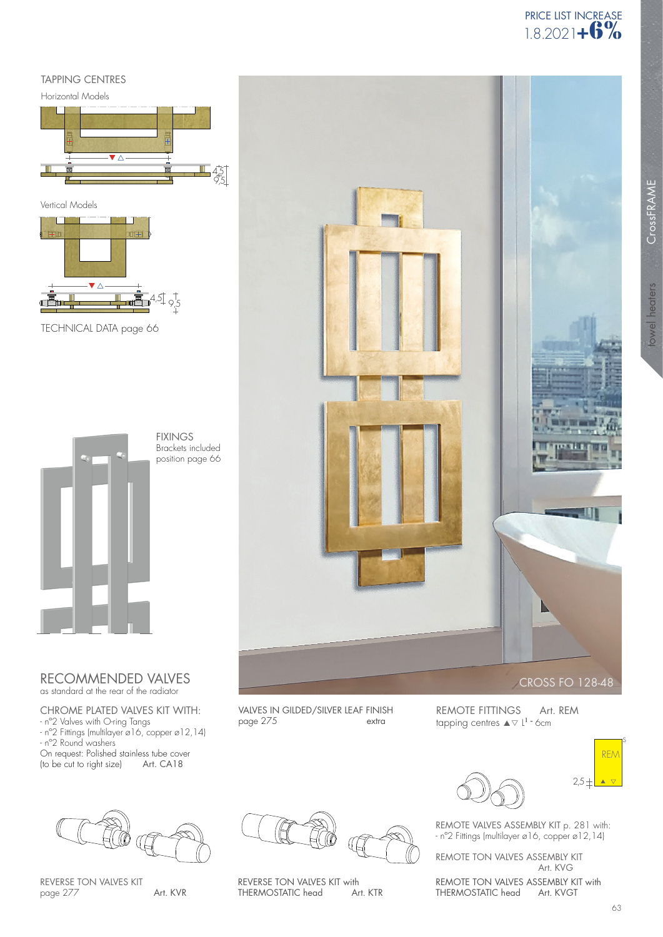## TAPPING CENTRES

Horizontal Models





TECHNICAL DATA page 66



RECOMMENDED VALVES as standard at the rear of the radiator

CHROME PLATED VALVES KIT WITH:

- nº2 Valves with O-ring Tangs
- nº2 Fittings (multilayer ø16, copper ø12,14) - nº2 Round washers On request: Polished stainless tube cover (to be cut to right size) Art. CA18
- 



CrossFRAME CrossFRAME towel heaters towel heaters

CROSS FO 128-48

REMOTE FITTINGS Art. REM tapping centres  $\blacktriangle \triangledown$  L<sup>1</sup> - 6cm



REMOTE VALVES ASSEMBLY KIT p. 281 with: - nº2 Fittings (multilayer ø16, copper ø12,14)

REMOTE TON VALVES ASSEMBLY KIT Art. KVG

REMOTE TON VALVES ASSEMBLY KIT with<br>THERMOSTATIC head Art. KVGT THERMOSTATIC head



REVERSE TON VALVES KIT page 277

Art. KVR

REVERSE TON VALVES KIT with<br>THERMOSTATIC head Art. KTR THERMOSTATIC head

s